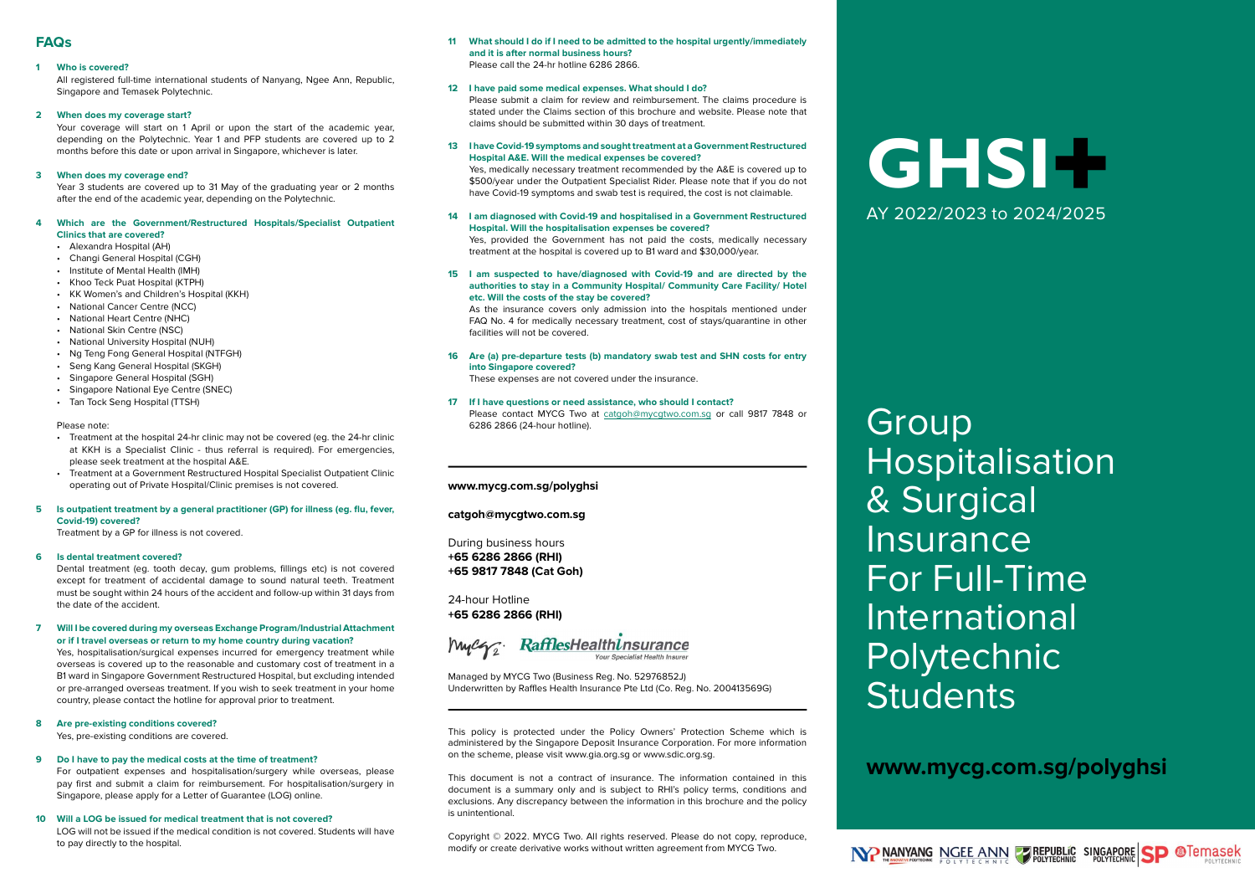# FAQs

#### 1 Who is covered?

All registered full-time international students of Nanyang, Ngee Ann, Republic, Singapore and Temasek Polytechnic.

#### 2 When does my coverage start?

Your coverage will start on 1 April or upon the start of the academic year. depending on the Polytechnic. Year 1 and PFP students are covered up to 2 months before this date or upon arrival in Singapore, whichever is later.

#### 3 When does my coverage end?

Year 3 students are covered up to 31 May of the graduating year or 2 months after the end of the academic year, depending on the Polytechnic.

#### 4 Which are the Government/Restructured Hospitals/Specialist Outpatient Clinics that are covered?

- Alexandra Hospital (AH)
- Changi General Hospital (CGH)
- Institute of Mental Health (IMH)
- Khoo Teck Puat Hospital (KTPH)
- KK Women's and Children's Hospital (KKH)
- National Cancer Centre (NCC)
- National Heart Centre (NHC)
- National Skin Centre (NSC)
- National University Hospital (NUH)
- Ng Teng Fong General Hospital (NTFGH)
- Seng Kang General Hospital (SKGH)
- Singapore General Hospital (SGH)
- Singapore National Eye Centre (SNEC)
- Tan Tock Seng Hospital (TTSH)

#### Please note:

- Treatment at the hospital 24-hr clinic may not be covered (eg. the 24-hr clinic at KKH is a Specialist Clinic - thus referral is required). For emergencies, please seek treatment at the hospital A&E.
- Treatment at a Government Restructured Hospital Specialist Outpatient Clinic operating out of Private Hospital/Clinic premises is not covered.

#### 5 Is outpatient treatment by a general practitioner (GP) for illness (eg. flu, fever, Covid-19) covered?

Treatment by a GP for illness is not covered.

#### 6 Is dental treatment covered?

Dental treatment (eg. tooth decay, gum problems, fillings etc) is not covered except for treatment of accidental damage to sound natural teeth. Treatment must be sought within 24 hours of the accident and follow-up within 31 days from the date of the accident.

#### 7 Will I be covered during my overseas Exchange Program/Industrial Attachment or if I travel overseas or return to my home country during vacation?

Yes, hospitalisation/surgical expenses incurred for emergency treatment while overseas is covered up to the reasonable and customary cost of treatment in a B1 ward in Singapore Government Restructured Hospital, but excluding intended or pre-arranged overseas treatment. If you wish to seek treatment in your home country, please contact the hotline for approval prior to treatment.

# 8 Are pre-existing conditions covered?

Yes, pre-existing conditions are covered.

#### 9 Do I have to pay the medical costs at the time of treatment?

For outpatient expenses and hospitalisation/surgery while overseas, please pay first and submit a claim for reimbursement. For hospitalisation/surgery in Singapore, please apply for a Letter of Guarantee (LOG) online.

#### 10 Will a LOG be issued for medical treatment that is not covered? LOG will not be issued if the medical condition is not covered. Students will have to pay directly to the hospital.

#### 11 What should I do if I need to be admitted to the hospital urgently/immediately and it is after normal business hours? Please call the 24-hr hotline 6286 2866.

#### 12 I have paid some medical expenses. What should I do?

Please submit a claim for review and reimbursement. The claims procedure is stated under the Claims section of this brochure and website. Please note that claims should be submitted within 30 days of treatment.

#### 13 I have Covid-19 symptoms and sought treatment at a Government Restructured Hospital A&E. Will the medical expenses be covered?

Yes, medically necessary treatment recommended by the A&E is covered up to \$500/year under the Outpatient Specialist Rider. Please note that if you do not have Covid-19 symptoms and swab test is required, the cost is not claimable.

#### 14 I am diagnosed with Covid-19 and hospitalised in a Government Restructured Hospital. Will the hospitalisation expenses be covered?

Yes, provided the Government has not paid the costs, medically necessary treatment at the hospital is covered up to B1 ward and \$30,000/year.

#### 15 I am suspected to have/diagnosed with Covid-19 and are directed by the authorities to stay in a Community Hospital/ Community Care Facility/ Hotel etc. Will the costs of the stay be covered?

As the insurance covers only admission into the hospitals mentioned under FAQ No. 4 for medically necessary treatment, cost of stays/quarantine in other facilities will not be covered.

#### 16 Are (a) pre-departure tests (b) mandatory swab test and SHN costs for entry into Singapore covered?

These expenses are not covered under the insurance.

#### 17 If I have questions or need assistance, who should I contact? Please contact MYCG Two at catgoh@mycgtwo.com.sg or call 9817 7848 or 6286 2866 (24-hour hotline).

#### www.mycg.com.sg/polyghsi

catgoh@mycgtwo.com.sg

During business hours +65 6286 2866 (RHI) +65 9817 7848 (Cat Goh)

24-hour Hotline +65 6286 2866 (RHI)

Mycze RafflesHealthinsurance

Managed by MYCG Two (Business Reg. No. 52976852J) Underwritten by Raffles Health Insurance Pte Ltd (Co. Reg. No. 200413569G)

This policy is protected under the Policy Owners' Protection Scheme which is administered by the Singapore Deposit Insurance Corporation. For more information on the scheme, please visit www.gia.org.sg or www.sdic.org.sg.

This document is not a contract of insurance. The information contained in this document is a summary only and is subject to RHI's policy terms, conditions and exclusions. Any discrepancy between the information in this brochure and the policy is unintentional.

Copyright © 2022. MYCG Two. All rights reserved. Please do not copy, reproduce, modify or create derivative works without written agreement from MYCG Two.

# GHSI+ AY 2022/2023 to 2024/2025

**Group** Hospitalisation & Surgical **Insurance** For Full-Time International Polytechnic **Students** 

# www.mycg.com.sg/polyghsi

NP NANYANG NGEE ANN Z REPUBLIC SINGAPORE SP @Temasek